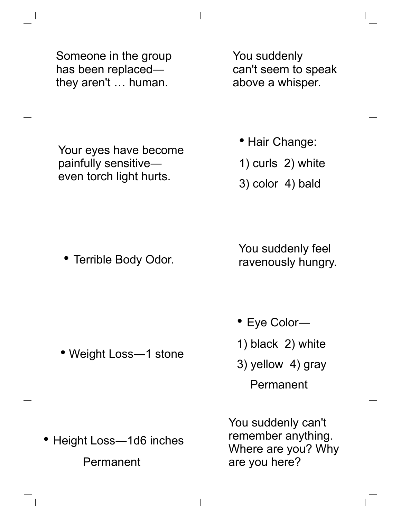Someone in the group has been replaced― they aren't … human.

You suddenly can't seem to speak above a whisper.

Your eyes have become painfully sensitive― even torch light hurts.

• Hair Change:

- 1) curls 2) white
- 3) color 4) bald

• Terrible Body Odor.

• Weight Loss―1 stone

You suddenly feel ravenously hungry.

- Eye Color―
- 1) black 2) white
- 3) yellow 4) gray Permanent

• Height Loss-1d6 inches Permanent

You suddenly can't remember anything. Where are you? Why are you here?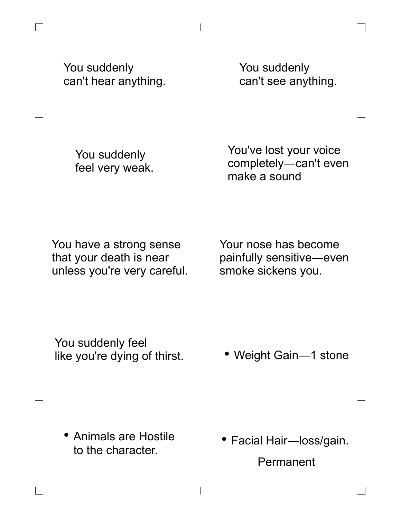You suddenly can't hear anything.

Г

You suddenly can't see anything.

You suddenly feel very weak. You've lost your voice completely―can't even make a sound

You have a strong sense that your death is near unless you're very careful.

Your nose has become painfully sensitive―even smoke sickens you.

You suddenly feel like you're dying of thirst.

• Weight Gain-1 stone

• Animals are Hostile to the character.

 $\overline{\phantom{a}}$ 

• Facial Hair-loss/gain. Permanent

 $\overline{\phantom{a}}$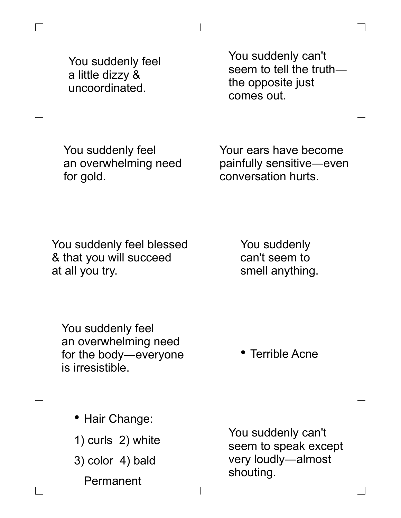You suddenly feel a little dizzy & uncoordinated.

 $\overline{\phantom{a}}$ 

 $\Box$ 

You suddenly can't seem to tell the truth― the opposite just comes out.

You suddenly feel an overwhelming need for gold.

Your ears have become painfully sensitive―even conversation hurts.

You suddenly feel blessed & that you will succeed at all you try.

You suddenly can't seem to smell anything.

You suddenly feel an overwhelming need for the body―everyone is irresistible.

• Terrible Acne

• Hair Change:

1) curls 2) white

3) color 4) bald

 $\overline{\phantom{a}}$ 

Permanent

You suddenly can't seem to speak except very loudly―almost shouting.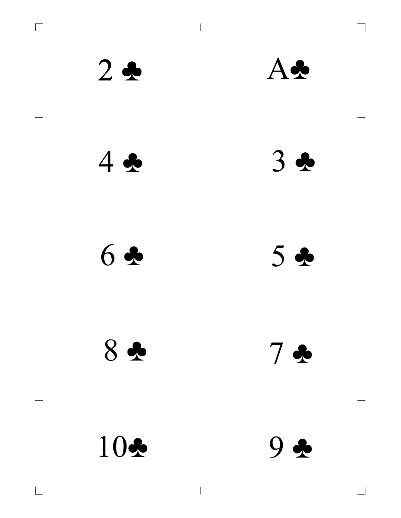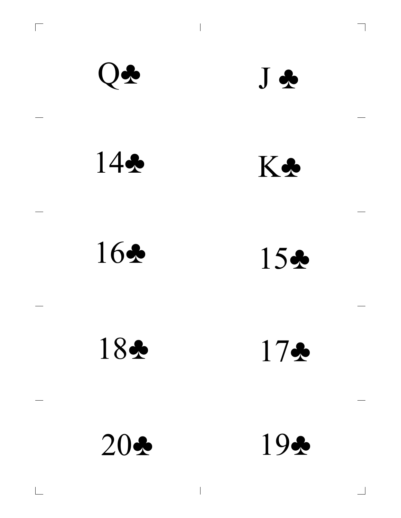

 $\overline{\phantom{a}}$ 

 $\overline{\phantom{0}}$ 

 $\overline{\Box}$